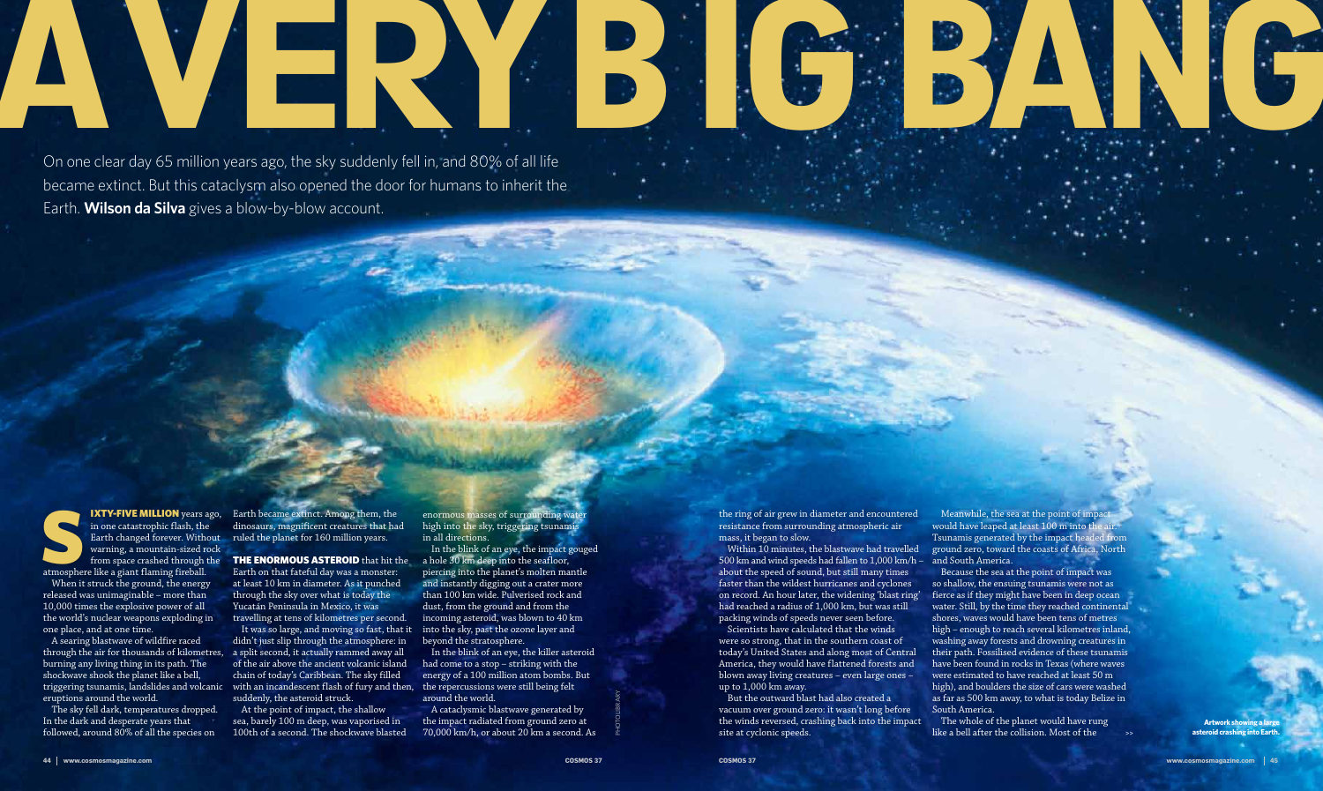Photolibrary

On one clear day 65 million years ago, the sky suddenly fell in, and 80% of all life became extinct. But this cataclysm also opened the door for humans to inherit the Earth. **Wilson da Silva** gives a blow-by-blow account.



IXTY-FIVE MILLION years ago, in one catastrophic flash, the Earth changed forever. Without warning, a mountain-sized rock from space crashed through the atmosphere like a giant flaming fireball. in one catastrophic flash, the Earth changed forever. Without warning, a mountain-sized rock

The sky fell dark, temperatures dropped. In the dark and desperate years that followed, around  $80\%$  of all the species on

When it struck the ground, the energy released was unimaginable – more than 10,000 times the explosive power of all the world's nuclear weapons exploding in one place, and at one time.

**IXTY-FIVE MILLION** years ago, Earth became extinct. Among them, the dinosaurs, magnificent creatures that had ruled the planet for 160 million years.

from space crashed through the **THE ENORMOUS ASTEROID** that hit the Earth on that fateful day was a monster: at least 10 km in diameter. As it punched through the sky over what is today the Yucatán Peninsula in Mexico, it was travelling at tens of kilometres per second.

A searing blastwave of wildfire raced through the air for thousands of kilometres, burning any living thing in its path. The shockwave shook the planet like a bell, eruptions around the world.

At the point of impact, the shallow sea, barely 100 m deep, was vaporised in 100th of a second. The shockwave blasted

triggering tsunamis, landslides and volcanic with an incandescent flash of fury and then, It was so large, and moving so fast, that it didn't just slip through the atmosphere: in a split second, it actually rammed away all of the air above the ancient volcanic island chain of today's Caribbean. The sky filled suddenly, the asteroid struck.

Meanwhile, the sea at the point of impact would have leaped at least 100 m into the air. Tsunamis generated by the impact headed from ground zero, toward the coasts of Africa, North and South America.

enormous masses of surrounding water high into the sky, triggering tsunamis in all directions.

In the blink of an eye, the impact gouged a hole 30 km deep into the seafloor, piercing into the planet's molten mantle and instantly digging out a crater more than 100 km wide. Pulverised rock and dust, from the ground and from the incoming asteroid, was blown to 40 km into the sky, past the ozone layer and beyond the stratosphere.

> **Artwork showing a large asteroid crashing into Earth**

In the blink of an eye, the killer asteroid had come to a stop – striking with the energy of a 100 million atom bombs. But the repercussions were still being felt around the world.

A cataclysmic blastwave generated by the impact radiated from ground zero at 70,000 km/h, or about 20 km a second. As the ring of air grew in diameter and encountered resistance from surrounding atmospheric air mass, it began to slow.

Within 10 minutes, the blastwave had travelled 500 km and wind speeds had fallen to 1,000 km/h – about the speed of sound, but still many times faster than the wildest hurricanes and cyclones on record. An hour later, the widening 'blast ring' had reached a radius of 1,000 km, but was still packing winds of speeds never seen before.

Scientists have calculated that the winds were so strong, that in the southern coast of today's United States and along most of Central America, they would have flattened forests and blown away living creatures – even large ones – up to 1,000 km away.

But the outward blast had also created a vacuum over ground zero: it wasn't long before the winds reversed, crashing back into the impact site at cyclonic speeds.

Because the sea at the point of impact was so shallow, the ensuing tsunamis were not as fierce as if they might have been in deep ocean water. Still, by the time they reached continental shores, waves would have been tens of metres high – enough to reach several kilometres inland, washing away forests and drowning creatures in their path. Fossilised evidence of these tsunamis have been found in rocks in Texas (where waves were estimated to have reached at least 50 m high), and boulders the size of cars were washed as far as 500 km away, to what is today Belize in South America.

The whole of the planet would have rung like a bell after the collision. Most of the

## A very big bang



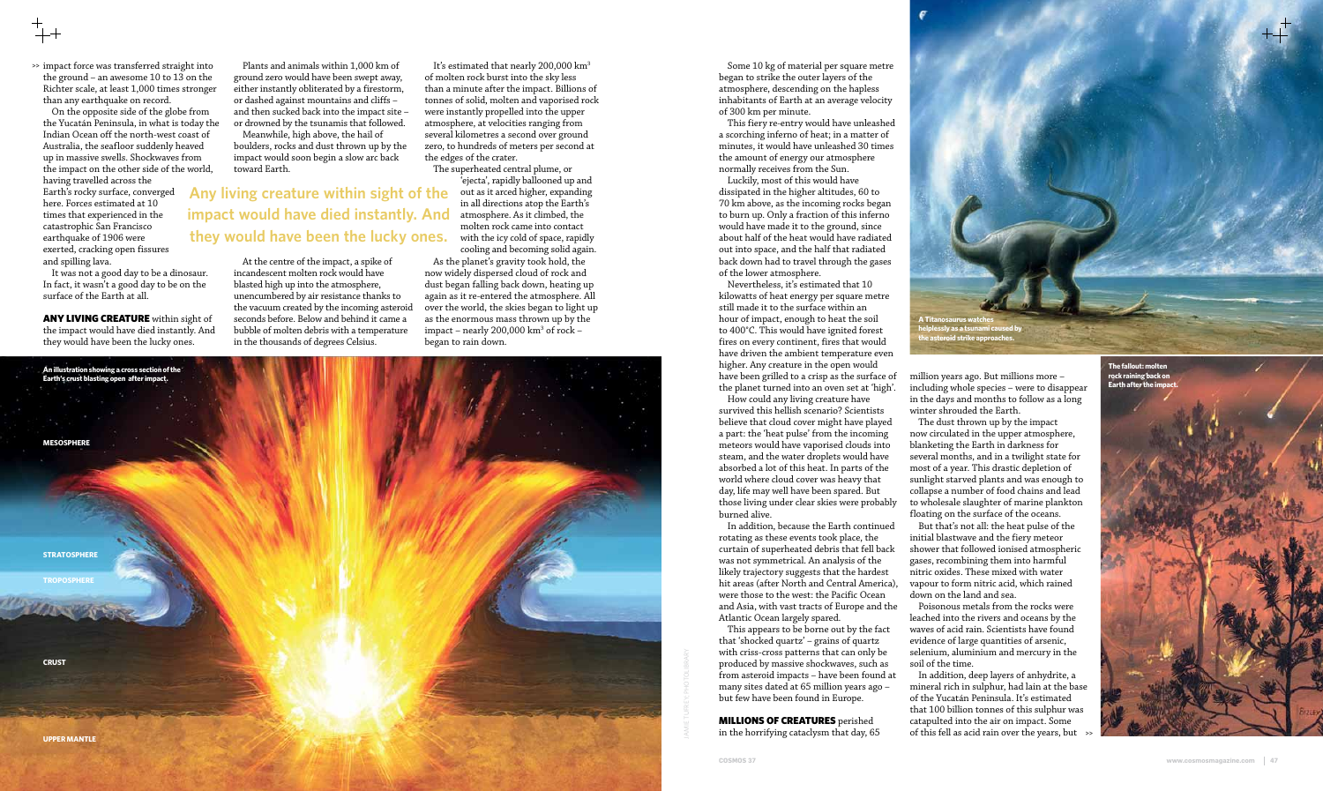>> impact force was transferred straight into the ground – an awesome 10 to 13 on the Richter scale, at least 1,000 times stronger than any earthquake on record.

On the opposite side of the globe from the Yucatán Peninsula, in what is today the Indian Ocean off the north-west coast of Australia, the seafloor suddenly heaved up in massive swells. Shockwaves from the impact on the other side of the world, having travelled across the Earth's rocky surface, converged here. Forces estimated at 10 times that experienced in the catastrophic San Francisco earthquake of 1906 were exerted, cracking open fissures and spilling lava.

It was not a good day to be a dinosaur. In fact, it wasn't a good day to be on the surface of the Earth at all.

ANY LIVING CREATURE within sight of the impact would have died instantly. And they would have been the lucky ones.

It's estimated that nearly 200,000 km<sup>3</sup> of molten rock burst into the sky less than a minute after the impact. Billions of tonnes of solid, molten and vaporised rock were instantly propelled into the upper atmosphere, at velocities ranging from several kilometres a second over ground zero, to hundreds of meters per second at the edges of the crater.

Plants and animals within 1,000 km of ground zero would have been swept away, either instantly obliterated by a firestorm, or dashed against mountains and cliffs – and then sucked back into the impact site – or drowned by the tsunamis that followed.

Meanwhile, high above, the hail of boulders, rocks and dust thrown up by the impact would soon begin a slow arc back toward Earth.

At the centre of the impact, a spike of incandescent molten rock would have blasted high up into the atmosphere, unencumbered by air resistance thanks to the vacuum created by the incoming asteroid seconds before. Below and behind it came a bubble of molten debris with a temperature in the thousands of degrees Celsius.

The superheated central plume, or 'ejecta', rapidly ballooned up and out as it arced higher, expanding in all directions atop the Earth's atmosphere. As it climbed, the molten rock came into contact with the icy cold of space, rapidly cooling and becoming solid again.

As the planet's gravity took hold, the now widely dispersed cloud of rock and dust began falling back down, heating up again as it re-entered the atmosphere. All over the world, the skies began to light up as the enormous mass thrown up by the impact – nearly 200,000 km<sup>3</sup> of rock – began to rain down.

Some 10 kg of material per square metre began to strike the outer layers of the atmosphere, descending on the hapless inhabitants of Earth at an average velocity of 300 km per minute.

This fiery re-entry would have unleashed a scorching inferno of heat; in a matter of minutes, it would have unleashed 30 times the amount of energy our atmosphere normally receives from the Sun.

> In addition, deep layers of anhydrite, a mineral rich in sulphur, had lain at the base of the Yucatán Peninsula. It's estimated that 100 billion tonnes of this sulphur was catapulted into the air on impact. Some of this fell as acid rain over the years, but  $\mathbb{R}^2$

Luckily, most of this would have dissipated in the higher altitudes, 60 to 70 km above, as the incoming rocks began to burn up. Only a fraction of this inferno would have made it to the ground, since about half of the heat would have radiated out into space, and the half that radiated back down had to travel through the gases of the lower atmosphere.





Nevertheless, it's estimated that 10 kilowatts of heat energy per square metre still made it to the surface within an hour of impact, enough to heat the soil to 400°C. This would have ignited forest fires on every continent, fires that would have driven the ambient temperature even higher. Any creature in the open would have been grilled to a crisp as the surface of the planet turned into an oven set at 'high'.

How could any living creature have survived this hellish scenario? Scientists believe that cloud cover might have played a part: the 'heat pulse' from the incoming meteors would have vaporised clouds into steam, and the water droplets would have absorbed a lot of this heat. In parts of the world where cloud cover was heavy that day, life may well have been spared. But those living under clear skies were probably burned alive.

In addition, because the Earth continued rotating as these events took place, the curtain of superheated debris that fell back was not symmetrical. An analysis of the likely trajectory suggests that the hardest hit areas (after North and Central America), were those to the west: the Pacific Ocean and Asia, with vast tracts of Europe and the Atlantic Ocean largely spared.

This appears to be borne out by the fact that 'shocked quartz' – grains of quartz with criss-cross patterns that can only be produced by massive shockwaves, such as from asteroid impacts – have been found at many sites dated at 65 million years ago – but few have been found in Europe.

MILLIONS OF CREATURES perished in the horrifying cataclysm that day, 65

**Any living creature within sight of the impact would have died instantly. And they would have been the lucky ones.**

> million years ago. But millions more – including whole species – were to disappear in the days and months to follow as a long winter shrouded the Earth.

The dust thrown up by the impact now circulated in the upper atmosphere, blanketing the Earth in darkness for several months, and in a twilight state for most of a year. This drastic depletion of sunlight starved plants and was enough to collapse a number of food chains and lead to wholesale slaughter of marine plankton floating on the surface of the oceans.

But that's not all: the heat pulse of the initial blastwave and the fiery meteor shower that followed ionised atmospheric gases, recombining them into harmful nitric oxides. These mixed with water vapour to form nitric acid, which rained down on the land and sea.

Poisonous metals from the rocks were leached into the rivers and oceans by the waves of acid rain. Scientists have found evidence of large quantities of arsenic, selenium, aluminium and mercury in the soil of the time.

**A Titanosaurus watches helplessly as a tsunami caused by the asteroid strike approaches.**

jamie tufrey; PHOTOLIBRARY